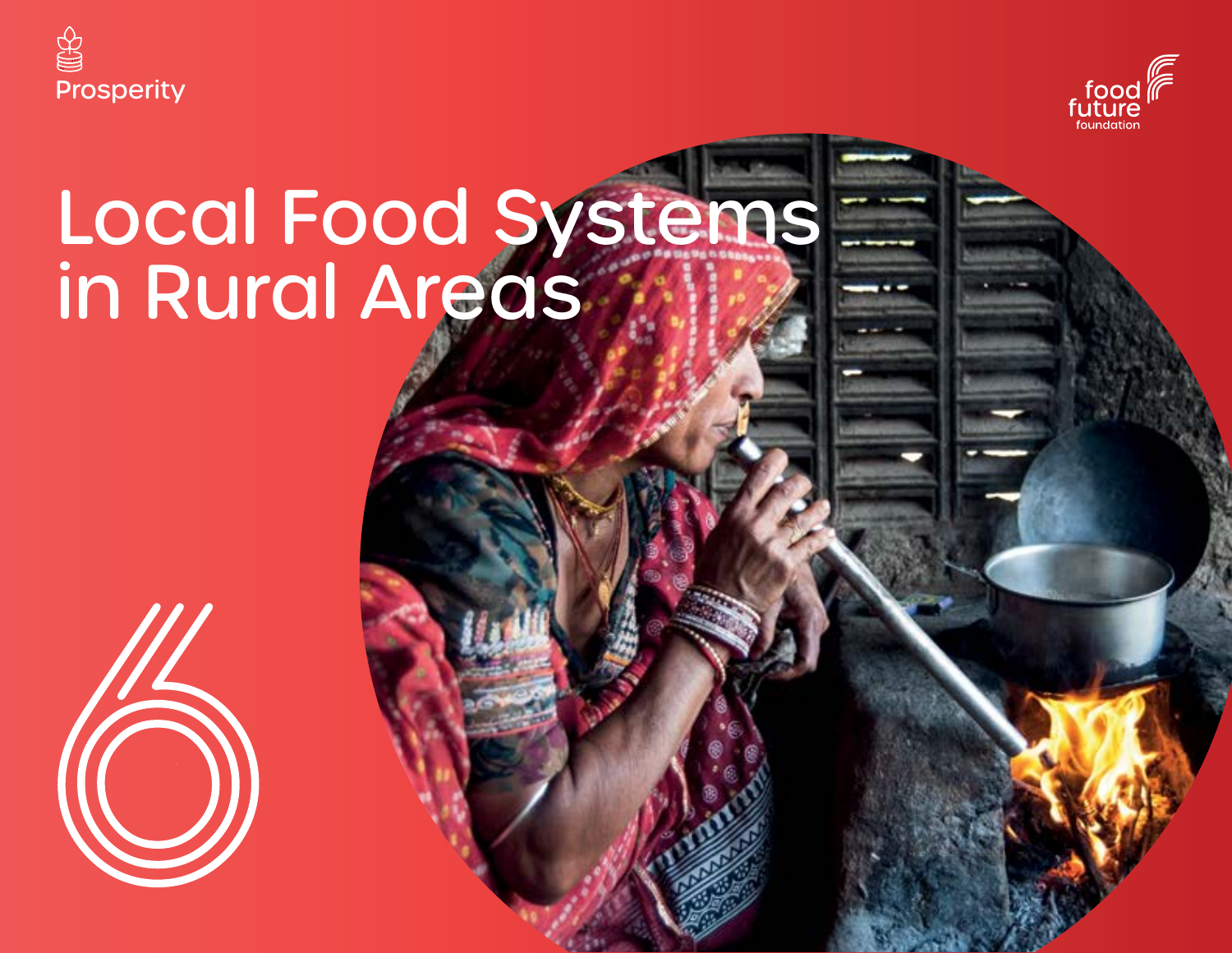



# Local Food Systems in Rural Areas

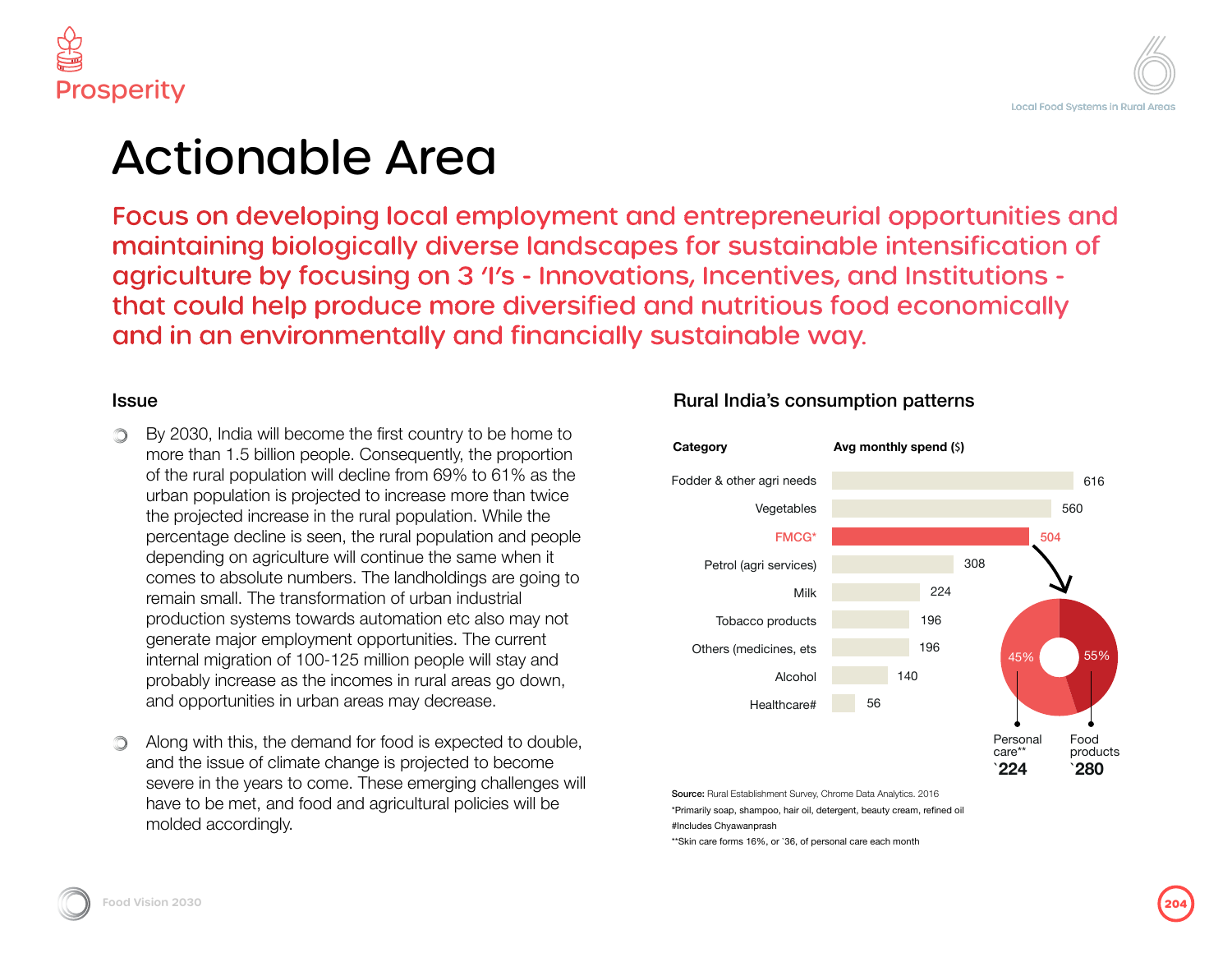

### lable Area

veloping local employment and entrepreneurial opportunities and biologically diverse landscapes for sustainable intensification of by focusing on 3 'I's - Innovations, Incentives, and Institutions elp produce more diversified and nutritious food economically **Nuironmentally and financially sustainable way.** 

ill become the first country to be home to llion people. Consequently, the proportion llation will decline from 69% to 61% as the h is projected to increase more than twice trease in the rural population. While the ine is seen, the rural population and people ariculture will continue the same when it te numbers. The landholdings are going to e transformation of urban industrial  $km$ s towards automation etc also may not employment opportunities. The current n of 100-125 million people will stay and  $\mathsf l$ e as the incomes in rural areas go down, s in urban areas may decrease.

the demand for food is expected to double. climate change is projected to become ars to come. These emerging challenges will and food and agricultural policies will be alv.

### Rural India's consumption patterns



Source: Rural Establishment Survey, Chrome Data Analytics. 2016 \*Primarily soap, shampoo, hair oil, detergent, beauty cream, refined oil #Includes Chyawanprash

\*\*Skin care forms 16%, or `36, of personal care each month

Issue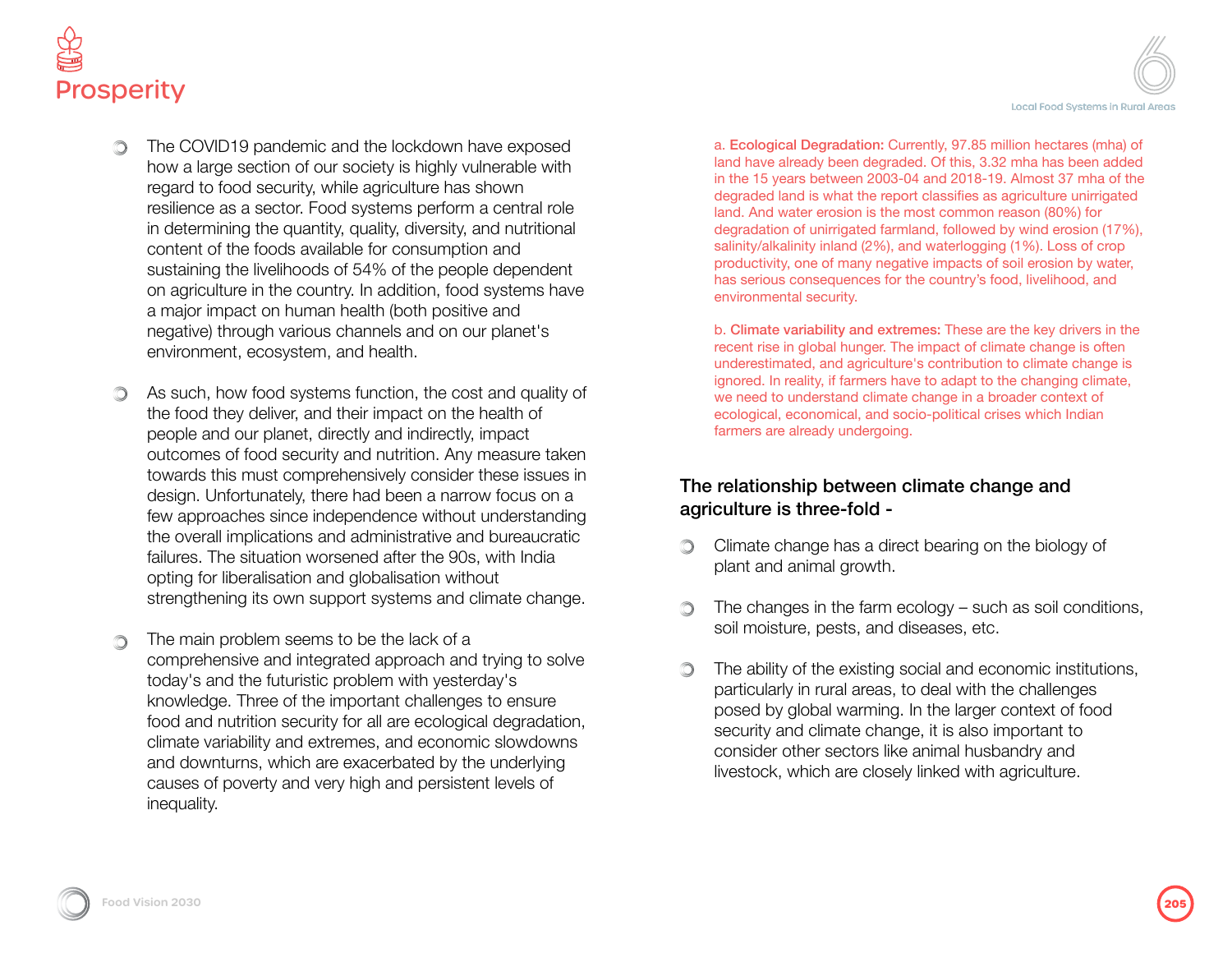



- The COVID19 pandemic and the lockdown have exposed how a large section of our society is highly vulnerable with regard to food security, while agriculture has shown resilience as a sector. Food systems perform a central role in determining the quantity, quality, diversity, and nutritional content of the foods available for consumption and sustaining the livelihoods of 54% of the people dependent on agriculture in the country. In addition, food systems have a major impact on human health (both positive and negative) through various channels and on our planet's environment, ecosystem, and health.
- As such, how food systems function, the cost and quality of the food they deliver, and their impact on the health of people and our planet, directly and indirectly, impact outcomes of food security and nutrition. Any measure taken towards this must comprehensively consider these issues in design. Unfortunately, there had been a narrow focus on a few approaches since independence without understanding the overall implications and administrative and bureaucratic failures. The situation worsened after the 90s, with India opting for liberalisation and globalisation without strengthening its own support systems and climate change.
- The main problem seems to be the lack of a comprehensive and integrated approach and trying to solve today's and the futuristic problem with yesterday's knowledge. Three of the important challenges to ensure food and nutrition security for all are ecological degradation, climate variability and extremes, and economic slowdowns and downturns, which are exacerbated by the underlying causes of poverty and very high and persistent levels of inequality.

a. Ecological Degradation: Currently, 97.85 million hectares (mha) of land have already been degraded. Of this, 3.32 mha has been added in the 15 years between 2003-04 and 2018-19. Almost 37 mha of the degraded land is what the report classifies as agriculture unirrigated land. And water erosion is the most common reason (80%) for degradation of unirrigated farmland, followed by wind erosion (17%), salinity/alkalinity inland (2%), and waterlogging (1%). Loss of crop productivity, one of many negative impacts of soil erosion by water, has serious consequences for the country's food, livelihood, and environmental security.

b. Climate variability and extremes: These are the key drivers in the recent rise in global hunger. The impact of climate change is often underestimated, and agriculture's contribution to climate change is ignored. In reality, if farmers have to adapt to the changing climate, we need to understand climate change in a broader context of ecological, economical, and socio-political crises which Indian farmers are already undergoing.

### The relationship between climate change and agriculture is three-fold -

- Climate change has a direct bearing on the biology of plant and animal growth.
- The changes in the farm ecology such as soil conditions, ∩ soil moisture, pests, and diseases, etc.
- The ability of the existing social and economic institutions, Ô particularly in rural areas, to deal with the challenges posed by global warming. In the larger context of food security and climate change, it is also important to consider other sectors like animal husbandry and livestock, which are closely linked with agriculture.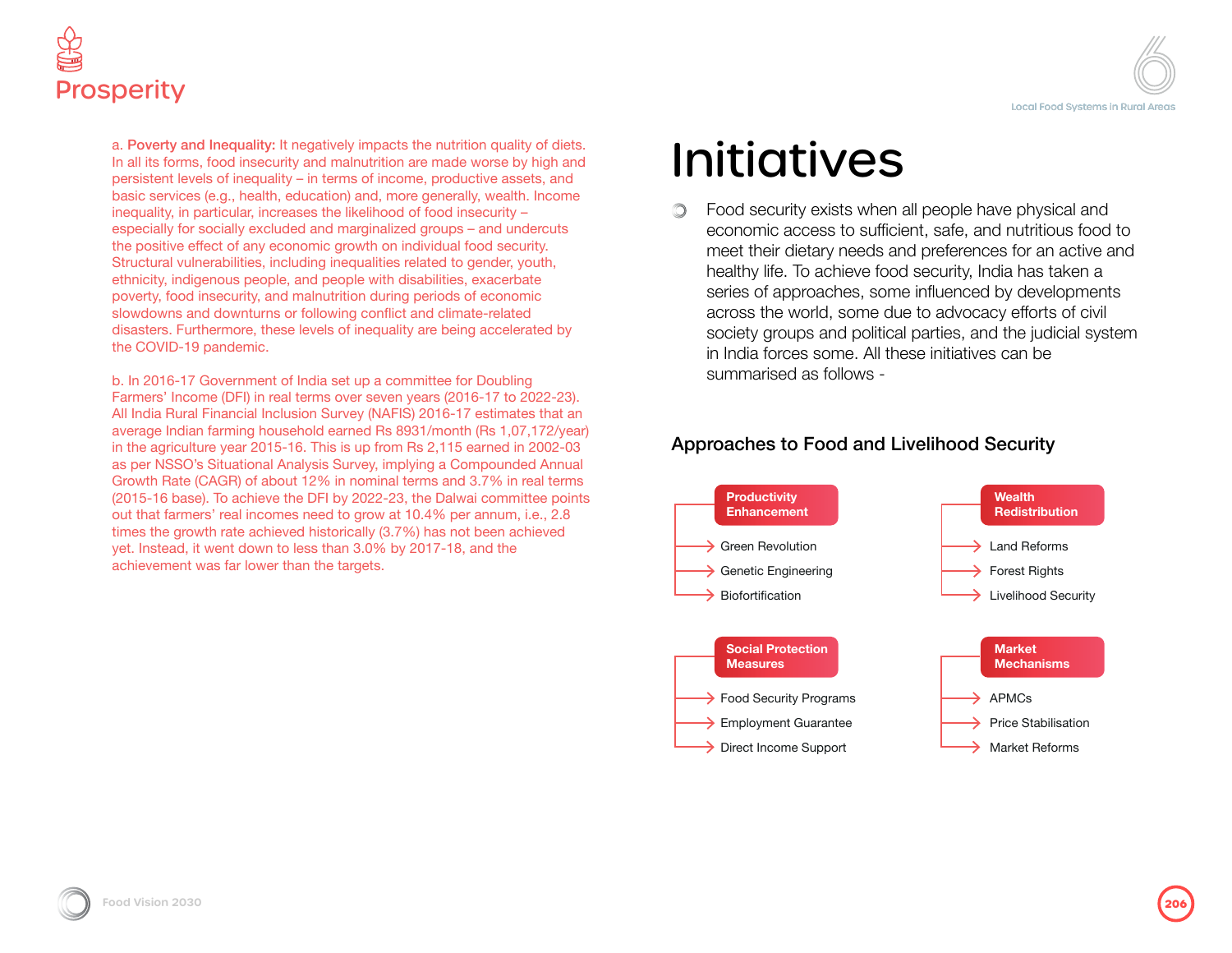

a. Poverty and Inequality: It negatively impacts the nutrition quality of diets. In all its forms, food insecurity and malnutrition are made worse by high and persistent levels of inequality – in terms of income, productive assets, and basic services (e.g., health, education) and, more generally, wealth. Income inequality, in particular, increases the likelihood of food insecurity – especially for socially excluded and marginalized groups – and undercuts the positive effect of any economic growth on individual food security. Structural vulnerabilities, including inequalities related to gender, youth, ethnicity, indigenous people, and people with disabilities, exacerbate poverty, food insecurity, and malnutrition during periods of economic slowdowns and downturns or following conflict and climate-related disasters. Furthermore, these levels of inequality are being accelerated by the COVID-19 pandemic.

b. In 2016-17 Government of India set up a committee for Doubling Farmers' Income (DFI) in real terms over seven years (2016-17 to 2022-23). All India Rural Financial Inclusion Survey (NAFIS) 2016-17 estimates that an average Indian farming household earned Rs 8931/month (Rs 1,07,172/year) in the agriculture year 2015-16. This is up from Rs 2,115 earned in 2002-03 as per NSSO's Situational Analysis Survey, implying a Compounded Annual Growth Rate (CAGR) of about 12% in nominal terms and 3.7% in real terms (2015-16 base). To achieve the DFI by 2022-23, the Dalwai committee points out that farmers' real incomes need to grow at 10.4% per annum, i.e., 2.8 times the growth rate achieved historically (3.7%) has not been achieved yet. Instead, it went down to less than 3.0% by 2017-18, and the achievement was far lower than the targets.

# Initiatives

Food security exists when all people have physical and  $\circlearrowright$ economic access to sufficient, safe, and nutritious food to meet their dietary needs and preferences for an active and healthy life. To achieve food security, India has taken a series of approaches, some influenced by developments across the world, some due to advocacy efforts of civil society groups and political parties, and the judicial system in India forces some. All these initiatives can be summarised as follows -

### Approaches to Food and Livelihood Security

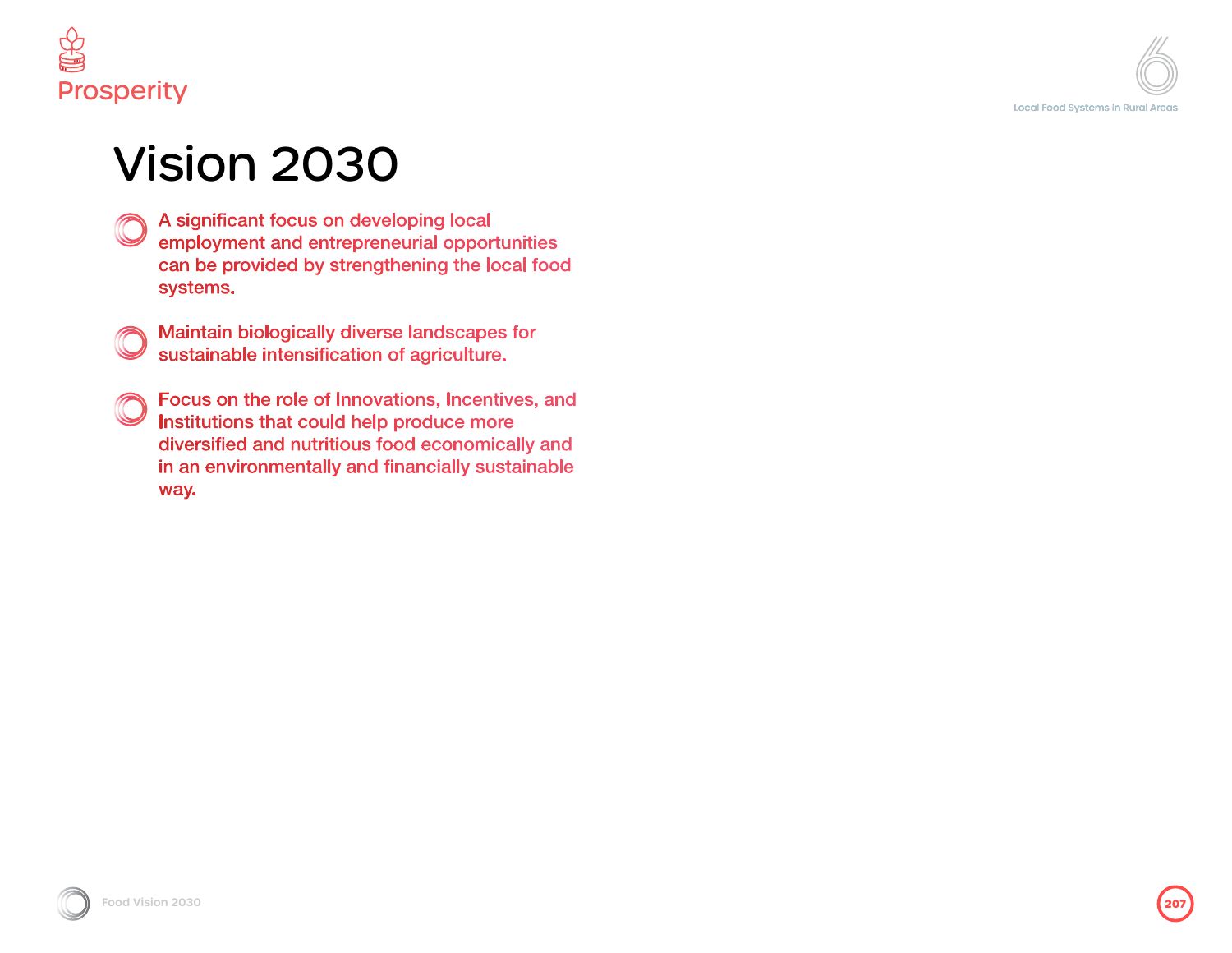

## Vision 2030

- A significant focus on developing local employment and entrepreneurial opportunities can be provided by strengthening the local food systems.
- Maintain biologically diverse landscapes for sustainable intensification of agriculture.
- Focus on the role of Innovations, Incentives, and Institutions that could help produce more diversified and nutritious food economically and in an environmentally and financially sustainable way.

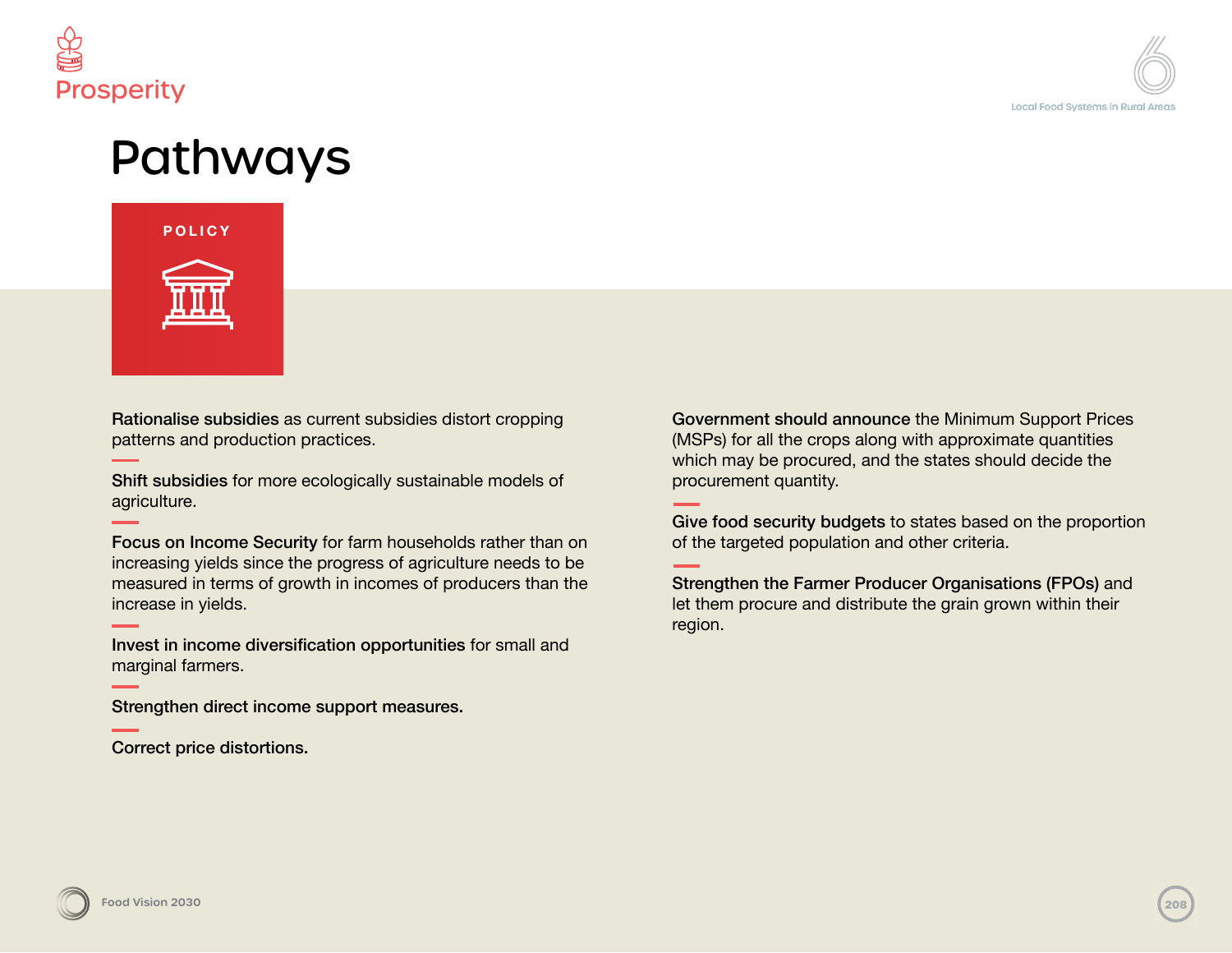

### Pathways



Rationalise subsidies as current subsidies distort cropping patterns and production practices.

Shift subsidies for more ecologically sustainable models of agriculture.

Focus on Income Security for farm households rather than on increasing yields since the progress of agriculture needs to be measured in terms of growth in incomes of producers than the increase in yields.

Invest in income diversification opportunities for small and marginal farmers.

Strengthen direct income support measures.

Correct price distortions.

Government should announce the Minimum Support Prices (MSPs) for all the crops along with approximate quantities which may be procured, and the states should decide the procurement quantity.

Give food security budgets to states based on the proportion of the targeted population and other criteria.

Strengthen the Farmer Producer Organisations (FPOs) and let them procure and distribute the grain grown within their region.